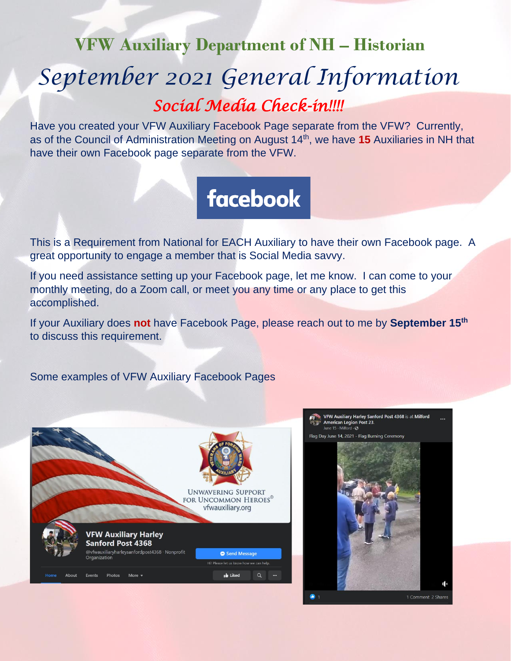## **VFW Auxiliary Department of NH – Historian** *September 2021 General Information*

*Social Media Check-in!!!!* 

Have you created your VFW Auxiliary Facebook Page separate from the VFW? Currently, as of the Council of Administration Meeting on August 14<sup>th</sup>, we have 15 Auxiliaries in NH that have their own Facebook page separate from the VFW.

## facebook

This is a Requirement from National for EACH Auxiliary to have their own Facebook page. A great opportunity to engage a member that is Social Media savvy.

If you need assistance setting up your Facebook page, let me know. I can come to your monthly meeting, do a Zoom call, or meet you any time or any place to get this accomplished.

If your Auxiliary does **not** have Facebook Page, please reach out to me by **September 15th** to discuss this requirement.

Some examples of VFW Auxiliary Facebook Pages



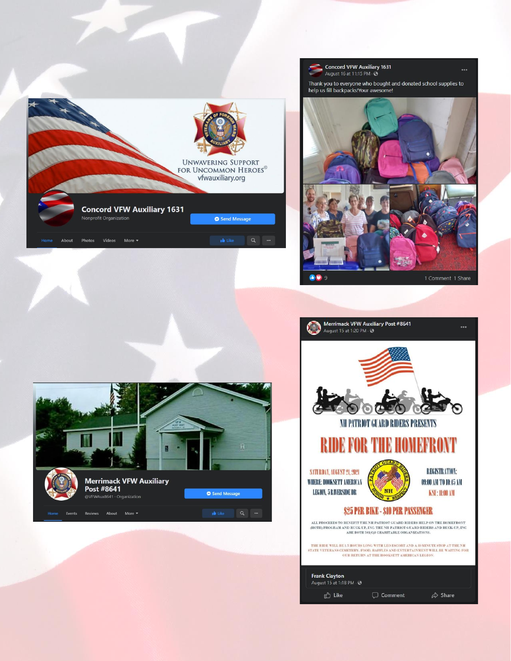



 $\ddotsc$ 



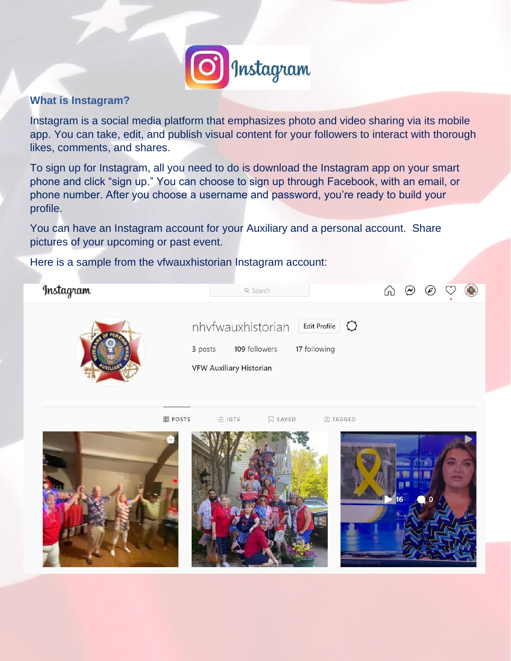

## **What is Instagram?**

Instagram is a social media platform that emphasizes photo and video sharing via its mobile app. You can take, edit, and publish visual content for your followers to interact with thorough likes, comments, and shares.

To sign up for Instagram, all you need to do is download the Instagram app on your smart phone and click "sign up." You can choose to sign up through Facebook, with an email, or phone number. After you choose a username and password, you're ready to build your profile.

You can have an Instagram account for your Auxiliary and a personal account. Share pictures of your upcoming or past event.

Here is a sample from the vfwauxhistorian Instagram account: